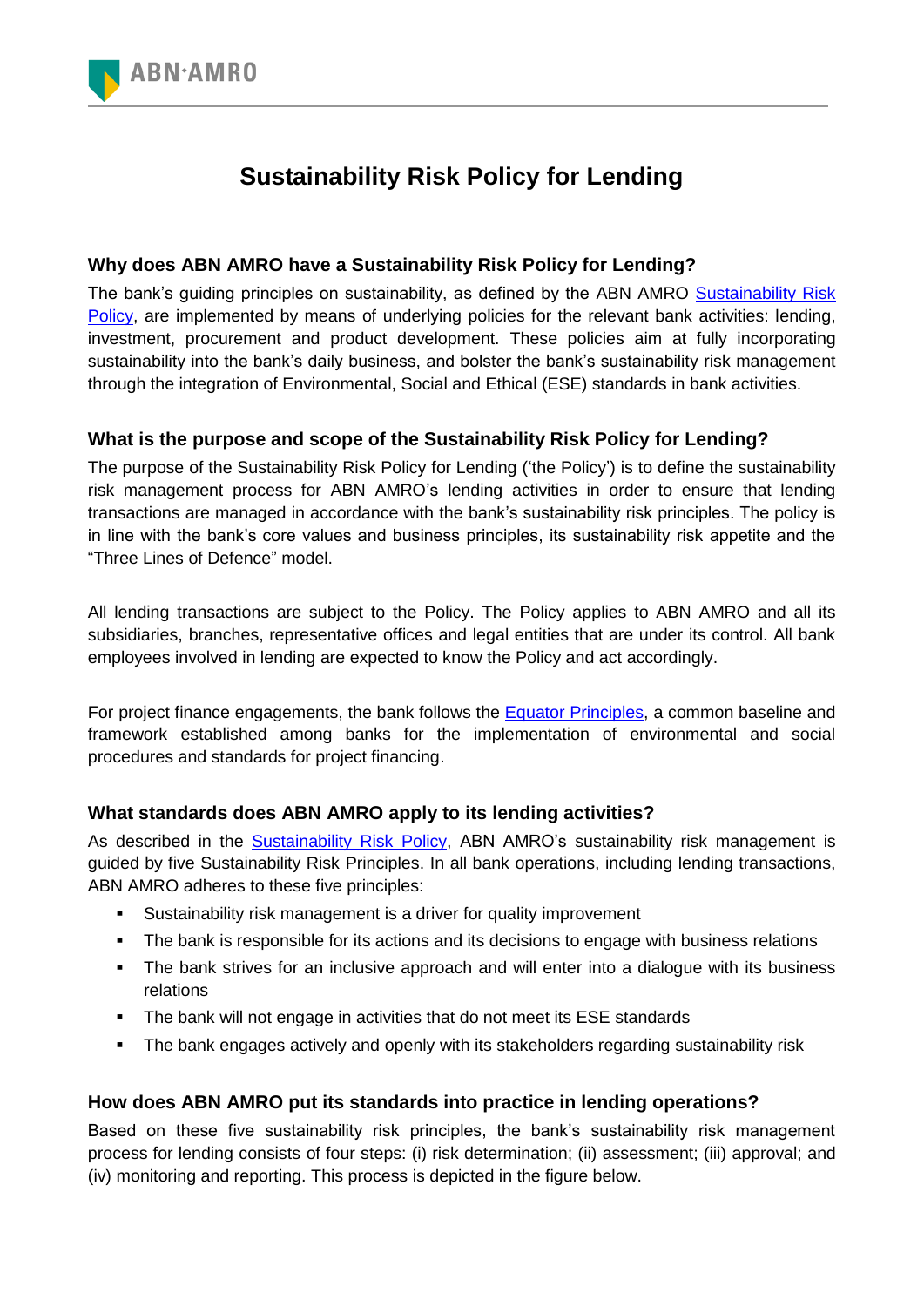

# **Sustainability Risk Policy for Lending**

# **Why does ABN AMRO have a Sustainability Risk Policy for Lending?**

The bank's guiding principles on sustainability, as defined by the ABN AMRO Sustainability Risk [Policy,](http://www.abnamro.com/en/Sustainability/risk-management/sustainability-risk-policy/index.html) are implemented by means of underlying policies for the relevant bank activities: lending, investment, procurement and product development. These policies aim at fully incorporating sustainability into the bank's daily business, and bolster the bank's sustainability risk management through the integration of Environmental, Social and Ethical (ESE) standards in bank activities.

## **What is the purpose and scope of the Sustainability Risk Policy for Lending?**

The purpose of the Sustainability Risk Policy for Lending ('the Policy') is to define the sustainability risk management process for ABN AMRO's lending activities in order to ensure that lending transactions are managed in accordance with the bank's sustainability risk principles. The policy is in line with the bank's core values and business principles, its sustainability risk appetite and the "Three Lines of Defence" model.

All lending transactions are subject to the Policy. The Policy applies to ABN AMRO and all its subsidiaries, branches, representative offices and legal entities that are under its control. All bank employees involved in lending are expected to know the Policy and act accordingly.

For project finance engagements, the bank follows the [Equator Principles,](http://www.equator-principles.com/) a common baseline and framework established among banks for the implementation of environmental and social procedures and standards for project financing.

# **What standards does ABN AMRO apply to its lending activities?**

As described in the [Sustainability Risk Policy,](http://www.abnamro.com/en/Sustainability/risk-management/sustainability-risk-policy/index.html) ABN AMRO's sustainability risk management is guided by five Sustainability Risk Principles. In all bank operations, including lending transactions, ABN AMRO adheres to these five principles:

- Sustainability risk management is a driver for quality improvement
- The bank is responsible for its actions and its decisions to engage with business relations
- The bank strives for an inclusive approach and will enter into a dialogue with its business relations
- The bank will not engage in activities that do not meet its ESE standards
- The bank engages actively and openly with its stakeholders regarding sustainability risk

## **How does ABN AMRO put its standards into practice in lending operations?**

Based on these five sustainability risk principles, the bank's sustainability risk management process for lending consists of four steps: (i) risk determination; (ii) assessment; (iii) approval; and (iv) monitoring and reporting. This process is depicted in the figure below.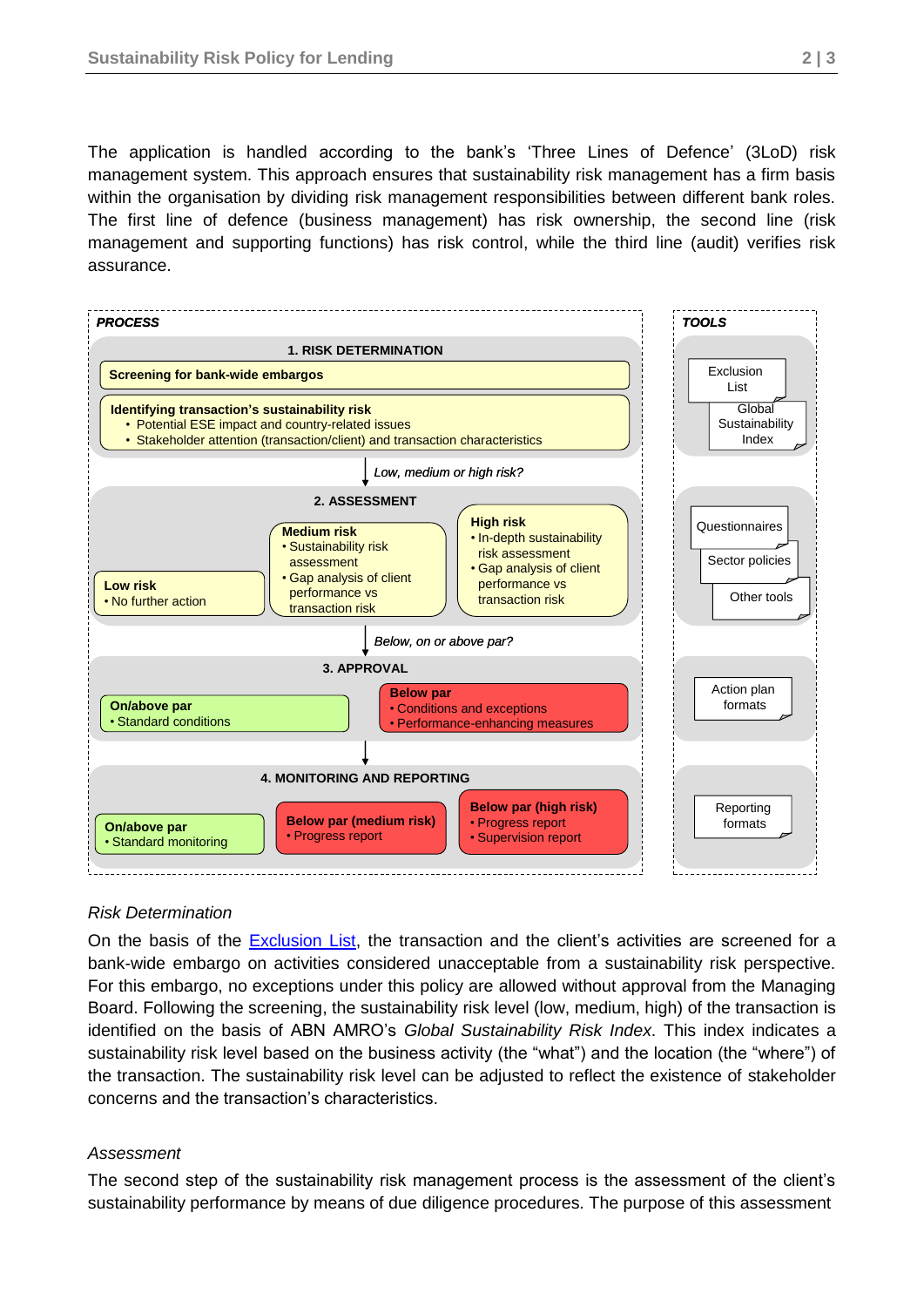The application is handled according to the bank's 'Three Lines of Defence' (3LoD) risk management system. This approach ensures that sustainability risk management has a firm basis within the organisation by dividing risk management responsibilities between different bank roles. The first line of defence (business management) has risk ownership, the second line (risk management and supporting functions) has risk control, while the third line (audit) verifies risk assurance.



#### *Risk Determination*

On the basis of the [Exclusion List,](http://www.abnamro.com/en/Sustainability/risk-management/sustainability-risk-policy/index.html) the transaction and the client's activities are screened for a bank-wide embargo on activities considered unacceptable from a sustainability risk perspective. For this embargo, no exceptions under this policy are allowed without approval from the Managing Board. Following the screening, the sustainability risk level (low, medium, high) of the transaction is identified on the basis of ABN AMRO's *Global Sustainability Risk Index*. This index indicates a sustainability risk level based on the business activity (the "what") and the location (the "where") of the transaction. The sustainability risk level can be adjusted to reflect the existence of stakeholder concerns and the transaction's characteristics.

#### *Assessment*

The second step of the sustainability risk management process is the assessment of the client's sustainability performance by means of due diligence procedures. The purpose of this assessment